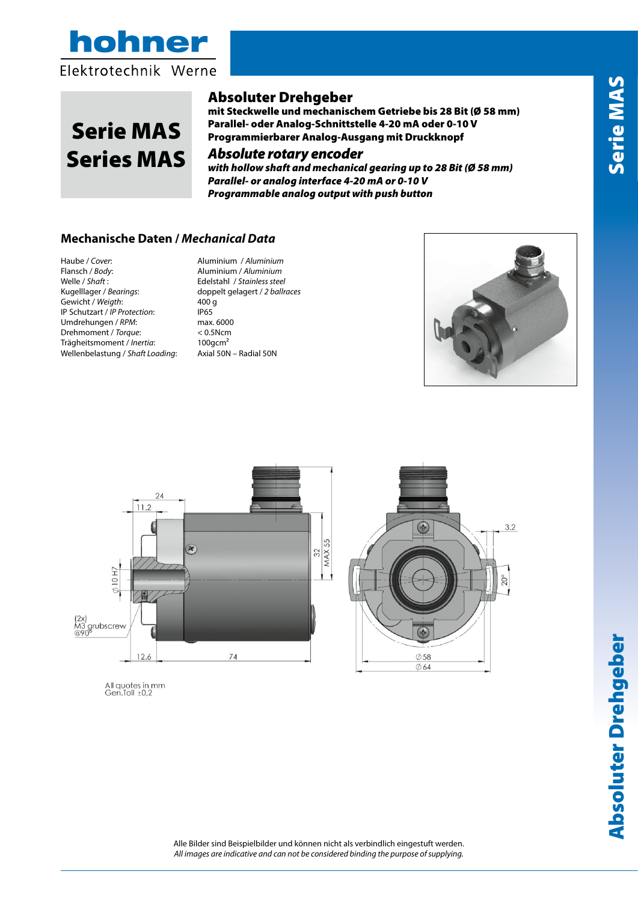



# Serie MAS Series MAS

## Absoluter Drehgeber

mit Steckwelle und mechanischem Getriebe bis 28 Bit (Ø 58 mm) Parallel- oder Analog-Schnittstelle 4-20 mA oder 0-10 V Programmierbarer Analog-Ausgang mit Druckknopf

### *Absolute rotary encoder*

*with hollow shaft and mechanical gearing up to 28 Bit (Ø 58 mm) Parallel- or analog interface 4-20 mA or 0-10 V Programmable analog output with push button*

### **Mechanische Daten /** *Mechanical Data*

Haube / *Cover*: Aluminium / *Aluminium* Welle / *Shaft* : Edelstahl / *Stainless steel* Gewicht / *Weigth*: 400 g<br>IP Schutzart / *IP Protection*: 405 IP Schutzart / *IP Protection*: IP65<br>Umdrehungen / *RPM*: max. 6000 Umdrehungen / RPM: Drehmoment / *Torque*: < 0.5Ncm Trägheitsmoment / *Inertia*: 100gcm² Wellenbelastung / *Shaft Loading*: Axial 50N – Radial 50N

Flansch / *Body*: Aluminium / *Aluminium* doppelt gelagert / 2 ballraces<br>400 g





All quotes in mm<br>Gen.Toll ±0,2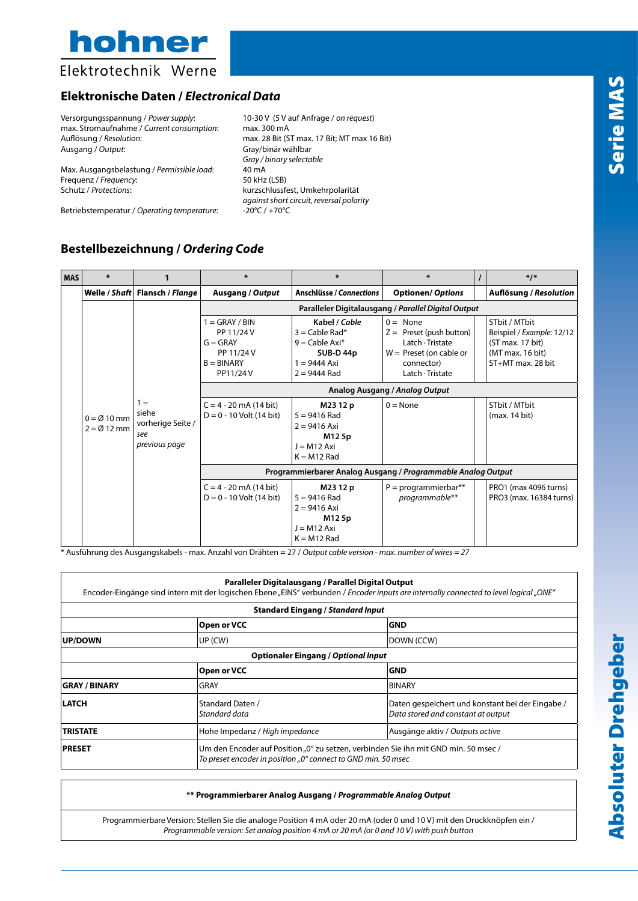

Elektrotechnik Werne

### **Elektronische Daten /** *Electronical Data*

Versorgungsspannung / *Power supply*: 10-30 V (5 V auf Anfrage / *on request*) max. Stromaufnahme / *Current consumption*: max. 300 mA Auflösung / *Resolution*: max. 28 Bit (ST max. 17 Bit; MT max 16 Bit)<br>Ausgang / *Output*: max 16 Bit (Stay/binär wählbar

Max. Ausgangsbelastung / *Permissible load*: 40 mA<br>Frequenz / *Frequency*: 50 kHz (LSB) Frequenz / *Frequency*: Schutz / *Protections*: kurzschlussfest, Umkehrpolarität

Betriebstemperatur / *Operating temperature*:

Ausgang / *Output*: Gray/binär wählbar *Gray / binary selectable against short circuit, reversal polarity*

### **Bestellbezeichnung /** *Ordering Code*

| <b>MAS</b> | $\ast$                                         | 1                                                           | $\ast$                                                                                 | $\ast$                                                                                                | $\ast$                                                                                                                      |  | $*1*$                                                                                                   |  |  |  |  |
|------------|------------------------------------------------|-------------------------------------------------------------|----------------------------------------------------------------------------------------|-------------------------------------------------------------------------------------------------------|-----------------------------------------------------------------------------------------------------------------------------|--|---------------------------------------------------------------------------------------------------------|--|--|--|--|
|            |                                                | Welle / Shaft   Flansch / Flange                            | <b>Ausgang / Output</b>                                                                | <b>Anschlüsse / Connections</b>                                                                       | <b>Optionen/ Options</b>                                                                                                    |  | <b>Auflösung / Resolution</b>                                                                           |  |  |  |  |
|            | $0 = \emptyset$ 10 mm<br>$2 = \emptyset$ 12 mm |                                                             | Paralleler Digitalausgang / Parallel Digital Output                                    |                                                                                                       |                                                                                                                             |  |                                                                                                         |  |  |  |  |
|            |                                                |                                                             | $1 =$ GRAY / BIN<br>PP 11/24 V<br>$G = GRAY$<br>PP 11/24 V<br>$B = BINARY$<br>PP11/24V | Kabel / Cable<br>$3 =$ Cable Rad*<br>$9 =$ Cable Axi*<br>SUB-D44p<br>$1 = 9444$ Axi<br>$2 = 9444$ Rad | $0 = None$<br>$Z =$ Preset (push button)<br>Latch · Tristate<br>$W =$ Preset (on cable or<br>connector)<br>Latch · Tristate |  | STbit / MTbit<br>Beispiel / Example: 12/12<br>(ST max. 17 bit)<br>(MT max. 16 bit)<br>ST+MT max. 28 bit |  |  |  |  |
|            |                                                |                                                             | Analog Ausgang / Analog Output                                                         |                                                                                                       |                                                                                                                             |  |                                                                                                         |  |  |  |  |
|            |                                                | $1 =$<br>siehe<br>vorherige Seite /<br>see<br>previous page | $C = 4 - 20$ mA (14 bit)<br>$D = 0 - 10$ Volt (14 bit)                                 | M23 12 p<br>$5 = 9416$ Rad<br>$2 = 9416$ Axi<br>M125p<br>$J = M12 Axi$<br>$K = M12$ Rad               | $0 = \text{None}$                                                                                                           |  | STbit / MTbit<br>(max. 14 bit)                                                                          |  |  |  |  |
|            |                                                |                                                             | Programmierbarer Analog Ausgang / Programmable Analog Output                           |                                                                                                       |                                                                                                                             |  |                                                                                                         |  |  |  |  |
|            |                                                |                                                             | $C = 4 - 20$ mA (14 bit)<br>$D = 0 - 10$ Volt (14 bit)                                 | M23 12 p<br>$5 = 9416$ Rad<br>$2 = 9416$ Axi<br>M125p<br>$J = M12 Axi$<br>$K = M12$ Rad               | $P = programmierbar**$<br>programmable**                                                                                    |  | PRO1 (max 4096 turns)<br>PRO3 (max. 16384 turns)                                                        |  |  |  |  |

\* Ausführung des Ausgangskabels - max. Anzahl von Drähten = 27 / *Output cable version - max. number of wires = 27*

### **Paralleler Digitalausgang / Parallel Digital Output**

Encoder-Eingänge sind intern mit der logischen Ebene "EINS" verbunden / Encoder inputs are internally connected to level logical "ONE"

| <b>Standard Eingang / Standard Input</b> |                                                                                                                                                      |                                                                                       |  |  |  |  |  |  |
|------------------------------------------|------------------------------------------------------------------------------------------------------------------------------------------------------|---------------------------------------------------------------------------------------|--|--|--|--|--|--|
|                                          | Open or VCC                                                                                                                                          | <b>GND</b>                                                                            |  |  |  |  |  |  |
| <b>UP/DOWN</b>                           | $UP$ (CW)<br>DOWN (CCW)                                                                                                                              |                                                                                       |  |  |  |  |  |  |
|                                          | <b>Optionaler Eingang / Optional Input</b>                                                                                                           |                                                                                       |  |  |  |  |  |  |
|                                          | Open or VCC                                                                                                                                          | <b>GND</b>                                                                            |  |  |  |  |  |  |
| <b>GRAY / BINARY</b>                     | <b>GRAY</b>                                                                                                                                          | <b>BINARY</b>                                                                         |  |  |  |  |  |  |
| <b>LATCH</b>                             | Standard Daten /<br>Standard data                                                                                                                    | Daten gespeichert und konstant bei der Eingabe/<br>Data stored and constant at output |  |  |  |  |  |  |
| <b>TRISTATE</b>                          | Hohe Impedanz / High impedance                                                                                                                       | Ausgänge aktiv / Outputs active                                                       |  |  |  |  |  |  |
| <b>PRESET</b>                            | Um den Encoder auf Position "0" zu setzen, verbinden Sie ihn mit GND min. 50 msec /<br>To preset encoder in position "0" connect to GND min. 50 msec |                                                                                       |  |  |  |  |  |  |

**\*\* Programmierbarer Analog Ausgang /** *Programmable Analog Output*

Programmierbare Version: Stellen Sie die analoge Position 4 mA oder 20 mA (oder 0 und 10 V) mit den Druckknöpfen ein / *Programmable version: Set analog position 4 mA or 20 mA (or 0 and 10 V) with push button*